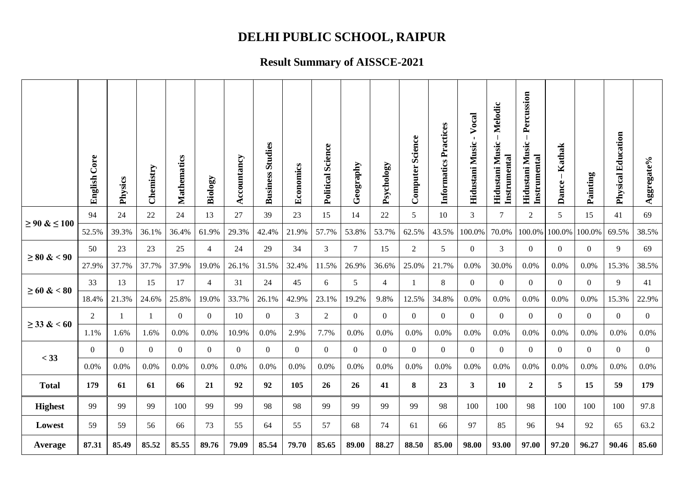# **DELHI PUBLIC SCHOOL, RAIPUR**

### **Result Summary of AISSCE-2021**

|                   | <b>English Core</b> | Physics        | Chemistry      | Mathematics      | Biology        | Accountancy      | <b>Business Studies</b> | Economics      | <b>Political Science</b> | Geography      | Psychology     | <b>Computer Science</b> | Informatics Practices | Vocal<br>$\blacksquare$<br>Hidustani Music | Melodic<br>Hidustani Music<br>Instrumental | Percussion<br>Hidustani Music<br>Instrumental | Kathak<br>$\overline{\phantom{a}}$<br>Dance- | Painting       | <b>Physical Education</b> | Aggregate%     |
|-------------------|---------------------|----------------|----------------|------------------|----------------|------------------|-------------------------|----------------|--------------------------|----------------|----------------|-------------------------|-----------------------|--------------------------------------------|--------------------------------------------|-----------------------------------------------|----------------------------------------------|----------------|---------------------------|----------------|
| $≥ 90 &$ ≤ ≤ 100  | 94                  | 24             | 22             | 24               | 13             | 27               | 39                      | 23             | 15                       | 14             | $22\,$         | 5                       | 10                    | $\mathfrak{Z}$                             | 7                                          | $\overline{2}$                                | 5                                            | 15             | 41                        | 69             |
|                   | 52.5%               | 39.3%          | 36.1%          | 36.4%            | 61.9%          | 29.3%            | 42.4%                   | 21.9%          | 57.7%                    | 53.8%          | 53.7%          | 62.5%                   | 43.5%                 | 100.0%                                     | 70.0%                                      | 100.0%                                        | 100.0%                                       | 100.0%         | 69.5%                     | 38.5%          |
| $\geq 80 \& 0.90$ | 50                  | 23             | 23             | 25               | $\overline{4}$ | 24               | 29                      | 34             | 3                        | 7              | 15             | 2                       | $5\overline{)}$       | $\boldsymbol{0}$                           | 3                                          | $\overline{0}$                                | $\overline{0}$                               | $\overline{0}$ | 9                         | 69             |
|                   | 27.9%               | 37.7%          | 37.7%          | 37.9%            | 19.0%          | 26.1%            | 31.5%                   | 32.4%          | 11.5%                    | 26.9%          | 36.6%          | 25.0%                   | 21.7%                 | 0.0%                                       | 30.0%                                      | 0.0%                                          | 0.0%                                         | 0.0%           | 15.3%                     | 38.5%          |
| $\geq 60 \& 80$   | 33                  | 13             | 15             | 17               | $\overline{4}$ | 31               | 24                      | 45             | 6                        | 5              | $\overline{4}$ | -1                      | 8                     | $\mathbf{0}$                               | $\Omega$                                   | $\overline{0}$                                | $\overline{0}$                               | $\overline{0}$ | 9                         | 41             |
|                   | 18.4%               | 21.3%          | 24.6%          | 25.8%            | 19.0%          | 33.7%            | 26.1%                   | 42.9%          | 23.1%                    | 19.2%          | 9.8%           | 12.5%                   | 34.8%                 | 0.0%                                       | 0.0%                                       | 0.0%                                          | 0.0%                                         | 0.0%           | 15.3%                     | 22.9%          |
| $\geq$ 33 & < 60  | $\overline{2}$      |                | $\overline{1}$ | $\mathbf{0}$     | $\Omega$       | 10               | $\theta$                | 3              | 2                        | $\theta$       | $\overline{0}$ | $\theta$                | $\Omega$              | $\overline{0}$                             | $\Omega$                                   | $\overline{0}$                                | $\overline{0}$                               | $\Omega$       | $\theta$                  | $\theta$       |
|                   | 1.1%                | 1.6%           | 1.6%           | 0.0%             | 0.0%           | 10.9%            | 0.0%                    | 2.9%           | 7.7%                     | 0.0%           | 0.0%           | 0.0%                    | 0.0%                  | 0.0%                                       | 0.0%                                       | 0.0%                                          | 0.0%                                         | 0.0%           | 0.0%                      | 0.0%           |
| $<$ 33            | $\overline{0}$      | $\overline{0}$ | $\mathbf{0}$   | $\boldsymbol{0}$ | $\overline{0}$ | $\boldsymbol{0}$ | $\mathbf{0}$            | $\overline{0}$ | $\mathbf{0}$             | $\overline{0}$ | $\mathbf{0}$   | $\mathbf{0}$            | $\overline{0}$        | $\overline{0}$                             | $\overline{0}$                             | $\overline{0}$                                | $\mathbf{0}$                                 | $\overline{0}$ | $\overline{0}$            | $\overline{0}$ |
|                   | 0.0%                | 0.0%           | 0.0%           | 0.0%             | 0.0%           | 0.0%             | 0.0%                    | 0.0%           | 0.0%                     | 0.0%           | 0.0%           | 0.0%                    | 0.0%                  | 0.0%                                       | 0.0%                                       | 0.0%                                          | 0.0%                                         | 0.0%           | 0.0%                      | 0.0%           |
| <b>Total</b>      | 179                 | 61             | 61             | 66               | 21             | 92               | 92                      | 105            | 26                       | 26             | 41             | 8                       | 23                    | $\mathbf{3}$                               | 10                                         | $\overline{2}$                                | 5                                            | 15             | 59                        | 179            |
| <b>Highest</b>    | 99                  | 99             | 99             | 100              | 99             | 99               | 98                      | 98             | 99                       | 99             | 99             | 99                      | 98                    | 100                                        | 100                                        | 98                                            | 100                                          | 100            | 100                       | 97.8           |
| Lowest            | 59                  | 59             | 56             | 66               | 73             | 55               | 64                      | 55             | 57                       | 68             | 74             | 61                      | 66                    | 97                                         | 85                                         | 96                                            | 94                                           | 92             | 65                        | 63.2           |
| Average           | 87.31               | 85.49          | 85.52          | 85.55            | 89.76          | 79.09            | 85.54                   | 79.70          | 85.65                    | 89.00          | 88.27          | 88.50                   | 85.00                 | 98.00                                      | 93.00                                      | 97.00                                         | 97.20                                        | 96.27          | 90.46                     | 85.60          |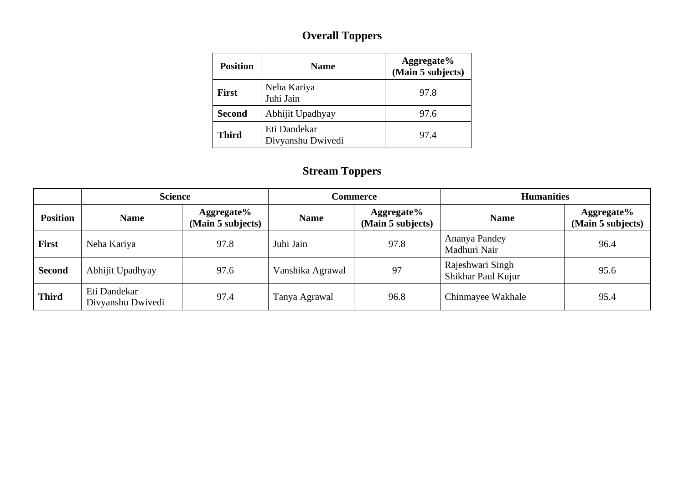### **Overall Toppers**

| <b>Position</b> | <b>Name</b>                       | Aggregate%<br>(Main 5 subjects) |
|-----------------|-----------------------------------|---------------------------------|
| <b>First</b>    | Neha Kariya<br>Juhi Jain          | 97.8                            |
| <b>Second</b>   | Abhijit Upadhyay                  | 97.6                            |
| <b>Third</b>    | Eti Dandekar<br>Divyanshu Dwivedi | 97.4                            |

#### **Stream Toppers**

|                 | <b>Science</b>                    |                                 |                  | Commerce                              | <b>Humanities</b>                      |                                 |  |  |
|-----------------|-----------------------------------|---------------------------------|------------------|---------------------------------------|----------------------------------------|---------------------------------|--|--|
| <b>Position</b> | <b>Name</b>                       | Aggregate%<br>(Main 5 subjects) | <b>Name</b>      | Aggregate%<br>(Main 5 subjects)       | <b>Name</b>                            | Aggregate%<br>(Main 5 subjects) |  |  |
| First           | Neha Kariya                       | 97.8<br>Juhi Jain               |                  | Ananya Pandey<br>97.8<br>Madhuri Nair |                                        | 96.4                            |  |  |
| Second          | Abhijit Upadhyay                  | 97.6                            | Vanshika Agrawal | 97                                    | Rajeshwari Singh<br>Shikhar Paul Kujur | 95.6                            |  |  |
| <b>Third</b>    | Eti Dandekar<br>Divyanshu Dwivedi | 97.4                            | Tanya Agrawal    | 96.8                                  | Chinmayee Wakhale                      | 95.4                            |  |  |